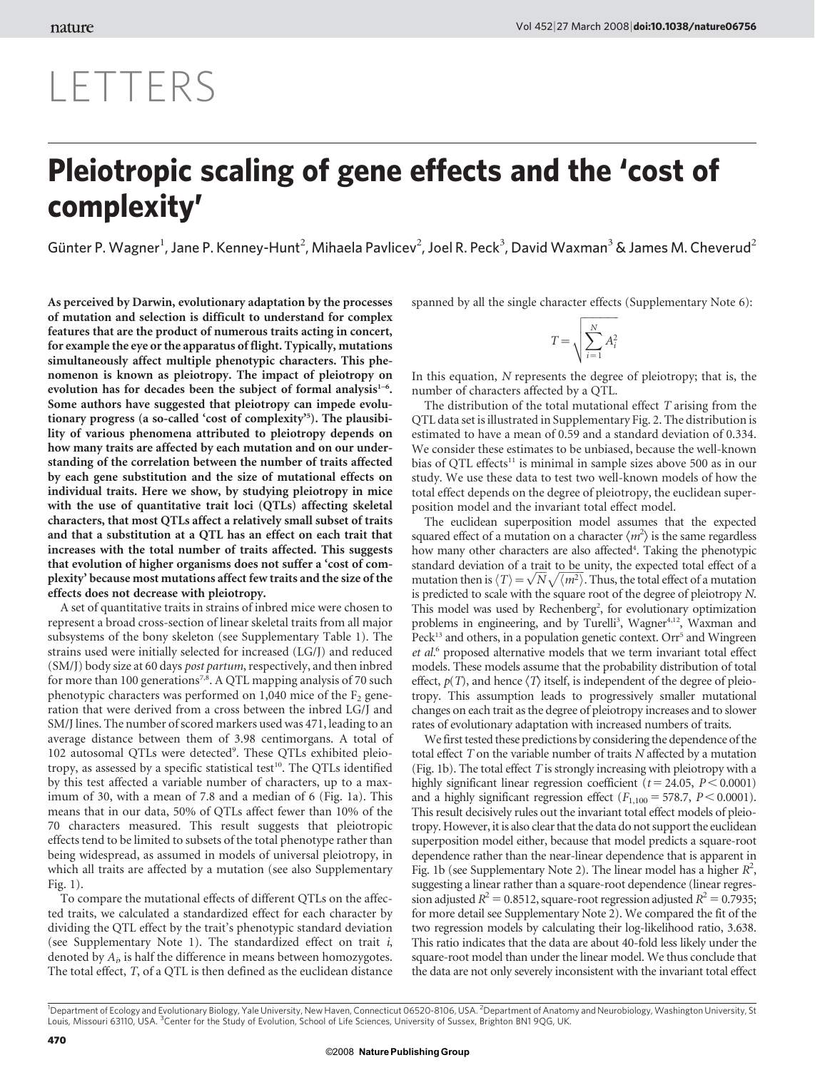# LETTERS

# Pleiotropic scaling of gene effects and the 'cost of complexity'

Günter P. Wagner<sup>1</sup>, Jane P. Kenney-Hunt<sup>2</sup>, Mihaela Pavlicev<sup>2</sup>, Joel R. Peck<sup>3</sup>, David Waxman<sup>3</sup> & James M. Cheverud<sup>2</sup>

As perceived by Darwin, evolutionary adaptation by the processes of mutation and selection is difficult to understand for complex features that are the product of numerous traits acting in concert, for example the eye or the apparatus of flight. Typically, mutations simultaneously affect multiple phenotypic characters. This phenomenon is known as pleiotropy. The impact of pleiotropy on evolution has for decades been the subject of formal analysis<sup>1-6</sup>. Some authors have suggested that pleiotropy can impede evolutionary progress (a so-called 'cost of complexity'<sup>5</sup>). The plausibility of various phenomena attributed to pleiotropy depends on how many traits are affected by each mutation and on our understanding of the correlation between the number of traits affected by each gene substitution and the size of mutational effects on individual traits. Here we show, by studying pleiotropy in mice with the use of quantitative trait loci (QTLs) affecting skeletal characters, that most QTLs affect a relatively small subset of traits and that a substitution at a QTL has an effect on each trait that increases with the total number of traits affected. This suggests that evolution of higher organisms does not suffer a 'cost of complexity' because most mutations affect few traits and the size of the effects does not decrease with pleiotropy.

A set of quantitative traits in strains of inbred mice were chosen to represent a broad cross-section of linear skeletal traits from all major subsystems of the bony skeleton (see Supplementary Table 1). The strains used were initially selected for increased (LG/J) and reduced (SM/J) body size at 60 days post partum, respectively, and then inbred for more than 100 generations<sup>7,8</sup>. A QTL mapping analysis of 70 such phenotypic characters was performed on 1,040 mice of the  $F<sub>2</sub>$  generation that were derived from a cross between the inbred LG/J and SM/J lines. The number of scored markers used was 471, leading to an average distance between them of 3.98 centimorgans. A total of 102 autosomal QTLs were detected<sup>9</sup>. These QTLs exhibited pleiotropy, as assessed by a specific statistical test<sup>10</sup>. The QTLs identified by this test affected a variable number of characters, up to a maximum of 30, with a mean of 7.8 and a median of 6 (Fig. 1a). This means that in our data, 50% of QTLs affect fewer than 10% of the 70 characters measured. This result suggests that pleiotropic effects tend to be limited to subsets of the total phenotype rather than being widespread, as assumed in models of universal pleiotropy, in which all traits are affected by a mutation (see also Supplementary Fig. 1).

To compare the mutational effects of different QTLs on the affected traits, we calculated a standardized effect for each character by dividing the QTL effect by the trait's phenotypic standard deviation (see Supplementary Note 1). The standardized effect on trait i, denoted by  $A_i$ , is half the difference in means between homozygotes. The total effect, T, of a QTL is then defined as the euclidean distance spanned by all the single character effects (Supplementary Note 6):

$$
T = \sqrt{\sum_{i=1}^{N} A_i^2}
$$

In this equation, N represents the degree of pleiotropy; that is, the number of characters affected by a QTL.

The distribution of the total mutational effect T arising from the QTL data set is illustrated in Supplementary Fig. 2. The distribution is estimated to have a mean of 0.59 and a standard deviation of 0.334. We consider these estimates to be unbiased, because the well-known bias of  $QTL$  effects<sup>11</sup> is minimal in sample sizes above 500 as in our study. We use these data to test two well-known models of how the total effect depends on the degree of pleiotropy, the euclidean superposition model and the invariant total effect model.

The euclidean superposition model assumes that the expected squared effect of a mutation on a character  $\langle m^2 \rangle$  is the same regardless how many other characters are also affected<sup>4</sup>. Taking the phenotypic standard deviation of a trait to be unity, the expected total effect of a standard deviation of a trait to be unity, the expected total effect of a mutation then is  $\langle T \rangle = \sqrt{N} \sqrt{\langle m^2 \rangle}$ . Thus, the total effect of a mutation is predicted to scale with the square root of the degree of pleiotropy N. This model was used by Rechenberg<sup>2</sup>, for evolutionary optimization problems in engineering, and by Turelli<sup>3</sup>, Wagner<sup>4,12</sup>, Waxman and Peck<sup>13</sup> and others, in a population genetic context. Orr<sup>5</sup> and Wingreen et al.<sup>6</sup> proposed alternative models that we term invariant total effect models. These models assume that the probability distribution of total effect,  $p(T)$ , and hence  $\langle T \rangle$  itself, is independent of the degree of pleiotropy. This assumption leads to progressively smaller mutational changes on each trait as the degree of pleiotropy increases and to slower rates of evolutionary adaptation with increased numbers of traits.

We first tested these predictions by considering the dependence of the total effect T on the variable number of traits N affected by a mutation (Fig. 1b). The total effect T is strongly increasing with pleiotropy with a highly significant linear regression coefficient ( $t = 24.05$ ,  $P < 0.0001$ ) and a highly significant regression effect  $(F_{1,100} = 578.7, P \le 0.0001)$ . This result decisively rules out the invariant total effect models of pleiotropy. However, it is also clear that the data do not support the euclidean superposition model either, because that model predicts a square-root dependence rather than the near-linear dependence that is apparent in Fig. 1b (see Supplementary Note 2). The linear model has a higher  $R^2$ , suggesting a linear rather than a square-root dependence (linear regression adjusted  $R^2 = 0.8512$ , square-root regression adjusted  $R^2 = 0.7935$ ; for more detail see Supplementary Note 2). We compared the fit of the two regression models by calculating their log-likelihood ratio, 3.638. This ratio indicates that the data are about 40-fold less likely under the square-root model than under the linear model. We thus conclude that the data are not only severely inconsistent with the invariant total effect

<sup>&</sup>lt;sup>1</sup>Department of Ecology and Evolutionary Biology, Yale University, New Haven, Connecticut 06520-8106, USA. <sup>2</sup>Department of Anatomy and Neurobiology, Washington University, St Louis, Missouri 63110, USA. <sup>3</sup>Center for the Study of Evolution, School of Life Sciences, University of Sussex, Brighton BN1 9QG, UK.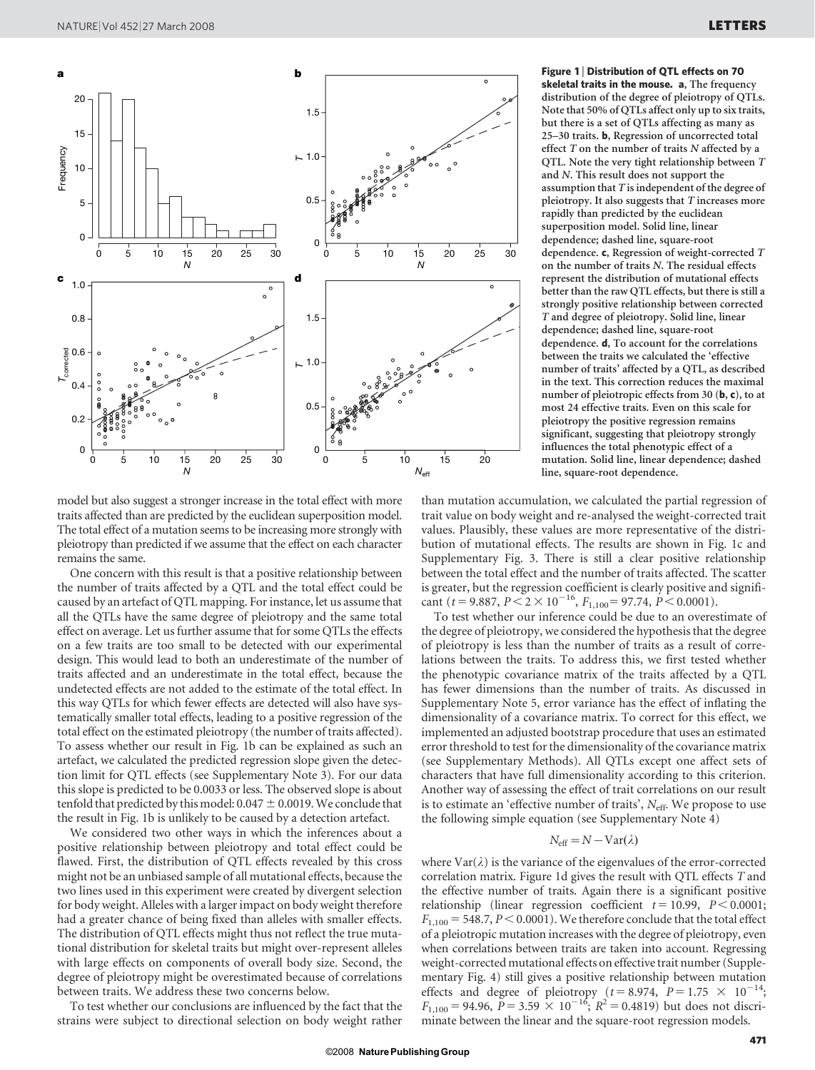

Note that 50% of QTLs affect only up to six traits, but there is a set of QTLs affecting as many as 25–30 traits. b, Regression of uncorrected total effect T on the number of traits N affected by a QTL. Note the very tight relationship between T and N. This result does not support the assumption that T is independent of the degree of pleiotropy. It also suggests that T increases more rapidly than predicted by the euclidean superposition model. Solid line, linear dependence; dashed line, square-root dependence. c, Regression of weight-corrected T on the number of traits N. The residual effects represent the distribution of mutational effects better than the raw QTL effects, but there is still a strongly positive relationship between corrected T and degree of pleiotropy. Solid line, linear dependence; dashed line, square-root dependence. d, To account for the correlations between the traits we calculated the 'effective number of traits' affected by a QTL, as described in the text. This correction reduces the maximal number of pleiotropic effects from 30 (b, c), to at most 24 effective traits. Even on this scale for pleiotropy the positive regression remains significant, suggesting that pleiotropy strongly influences the total phenotypic effect of a mutation. Solid line, linear dependence; dashed line, square-root dependence.

Figure 1 | Distribution of QTL effects on 70 skeletal traits in the mouse. a, The frequency distribution of the degree of pleiotropy of QTLs.

model but also suggest a stronger increase in the total effect with more traits affected than are predicted by the euclidean superposition model. The total effect of a mutation seems to be increasing more strongly with pleiotropy than predicted if we assume that the effect on each character remains the same.

One concern with this result is that a positive relationship between the number of traits affected by a QTL and the total effect could be caused by an artefact of QTL mapping. For instance, let us assume that all the QTLs have the same degree of pleiotropy and the same total effect on average. Let us further assume that for some QTLs the effects on a few traits are too small to be detected with our experimental design. This would lead to both an underestimate of the number of traits affected and an underestimate in the total effect, because the undetected effects are not added to the estimate of the total effect. In this way QTLs for which fewer effects are detected will also have systematically smaller total effects, leading to a positive regression of the total effect on the estimated pleiotropy (the number of traits affected). To assess whether our result in Fig. 1b can be explained as such an artefact, we calculated the predicted regression slope given the detection limit for QTL effects (see Supplementary Note 3). For our data this slope is predicted to be 0.0033 or less. The observed slope is about tenfold that predicted by this model:  $0.047 \pm 0.0019$ . We conclude that the result in Fig. 1b is unlikely to be caused by a detection artefact.

We considered two other ways in which the inferences about a positive relationship between pleiotropy and total effect could be flawed. First, the distribution of QTL effects revealed by this cross might not be an unbiased sample of all mutational effects, because the two lines used in this experiment were created by divergent selection for body weight. Alleles with a larger impact on body weight therefore had a greater chance of being fixed than alleles with smaller effects. The distribution of QTL effects might thus not reflect the true mutational distribution for skeletal traits but might over-represent alleles with large effects on components of overall body size. Second, the degree of pleiotropy might be overestimated because of correlations between traits. We address these two concerns below.

To test whether our conclusions are influenced by the fact that the strains were subject to directional selection on body weight rather than mutation accumulation, we calculated the partial regression of trait value on body weight and re-analysed the weight-corrected trait values. Plausibly, these values are more representative of the distribution of mutational effects. The results are shown in Fig. 1c and Supplementary Fig. 3. There is still a clear positive relationship between the total effect and the number of traits affected. The scatter is greater, but the regression coefficient is clearly positive and significant (t = 9.887,  $P \le 2 \times 10^{-16}$ ,  $F_{1,100} = 97.74$ ,  $P \le 0.0001$ ).

To test whether our inference could be due to an overestimate of the degree of pleiotropy, we considered the hypothesis that the degree of pleiotropy is less than the number of traits as a result of correlations between the traits. To address this, we first tested whether the phenotypic covariance matrix of the traits affected by a QTL has fewer dimensions than the number of traits. As discussed in Supplementary Note 5, error variance has the effect of inflating the dimensionality of a covariance matrix. To correct for this effect, we implemented an adjusted bootstrap procedure that uses an estimated error threshold to test for the dimensionality of the covariance matrix (see Supplementary Methods). All QTLs except one affect sets of characters that have full dimensionality according to this criterion. Another way of assessing the effect of trait correlations on our result is to estimate an 'effective number of traits',  $N_{\text{eff}}$ . We propose to use the following simple equation (see Supplementary Note 4)

## $N_{\text{eff}}=N-Var(\lambda)$

where  $\text{Var}(\lambda)$  is the variance of the eigenvalues of the error-corrected correlation matrix. Figure 1d gives the result with QTL effects T and the effective number of traits. Again there is a significant positive relationship (linear regression coefficient  $t = 10.99$ ,  $P < 0.0001$ ;  $F_{1,100} = 548.7, P \le 0.0001$ . We therefore conclude that the total effect of a pleiotropic mutation increases with the degree of pleiotropy, even when correlations between traits are taken into account. Regressing weight-corrected mutational effects on effective trait number (Supplementary Fig. 4) still gives a positive relationship between mutation effects and degree of pleiotropy ( $t = 8.974$ ,  $P = 1.75 \times 10^{-14}$ ;  $F_{1,100} = 94.96$ ,  $P = 3.59 \times 10^{-16}$ ;  $R^2 = 0.4819$ ) but does not discriminate between the linear and the square-root regression models.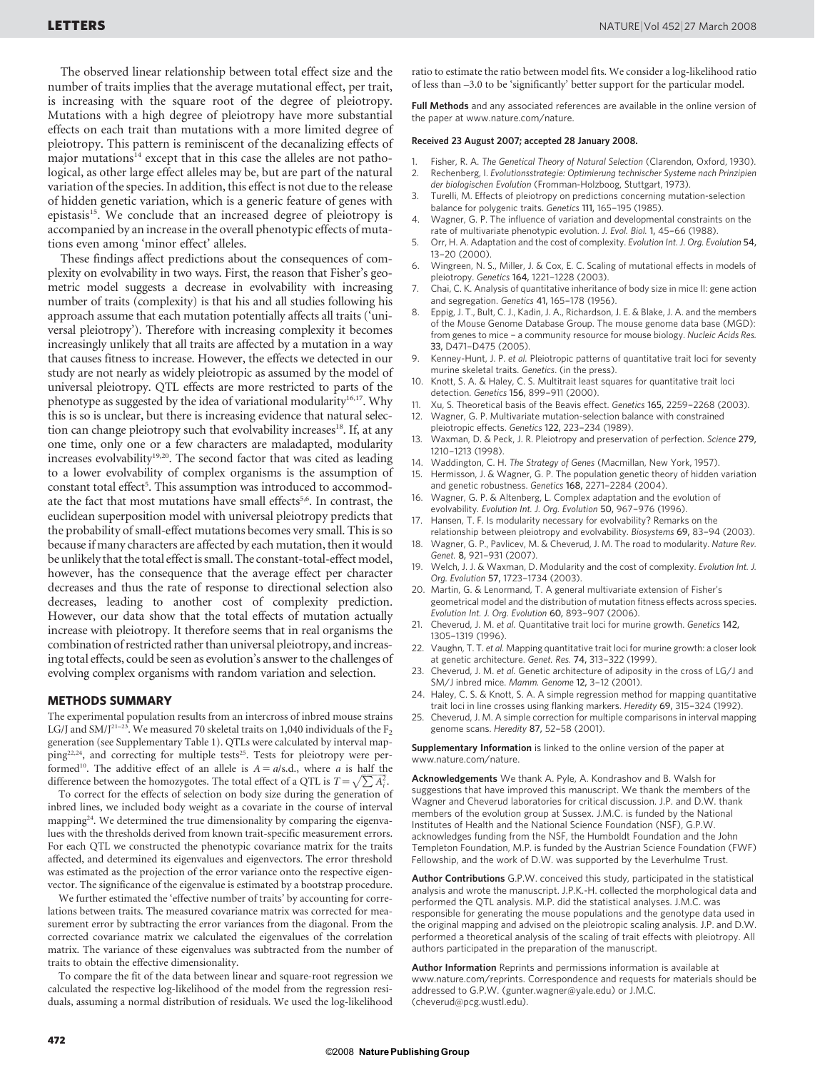The observed linear relationship between total effect size and the number of traits implies that the average mutational effect, per trait, is increasing with the square root of the degree of pleiotropy. Mutations with a high degree of pleiotropy have more substantial effects on each trait than mutations with a more limited degree of pleiotropy. This pattern is reminiscent of the decanalizing effects of major mutations $14$  except that in this case the alleles are not pathological, as other large effect alleles may be, but are part of the natural variation of the species. In addition, this effect is not due to the release of hidden genetic variation, which is a generic feature of genes with epistasis<sup>15</sup>. We conclude that an increased degree of pleiotropy is accompanied by an increase in the overall phenotypic effects of mutations even among 'minor effect' alleles.

These findings affect predictions about the consequences of complexity on evolvability in two ways. First, the reason that Fisher's geometric model suggests a decrease in evolvability with increasing number of traits (complexity) is that his and all studies following his approach assume that each mutation potentially affects all traits ('universal pleiotropy'). Therefore with increasing complexity it becomes increasingly unlikely that all traits are affected by a mutation in a way that causes fitness to increase. However, the effects we detected in our study are not nearly as widely pleiotropic as assumed by the model of universal pleiotropy. QTL effects are more restricted to parts of the phenotype as suggested by the idea of variational modularity<sup>16,17</sup>. Why this is so is unclear, but there is increasing evidence that natural selection can change pleiotropy such that evolvability increases<sup>18</sup>. If, at any one time, only one or a few characters are maladapted, modularity increases evolvability<sup>19,20</sup>. The second factor that was cited as leading to a lower evolvability of complex organisms is the assumption of constant total effect<sup>5</sup>. This assumption was introduced to accommodate the fact that most mutations have small effects<sup>5,6</sup>. In contrast, the euclidean superposition model with universal pleiotropy predicts that the probability of small-effect mutations becomes very small. This is so because if many characters are affected by each mutation, then it would be unlikely that the total effect is small. The constant-total-effect model, however, has the consequence that the average effect per character decreases and thus the rate of response to directional selection also decreases, leading to another cost of complexity prediction. However, our data show that the total effects of mutation actually increase with pleiotropy. It therefore seems that in real organisms the combination of restricted rather than universal pleiotropy, andincreasing total effects, could be seen as evolution's answer to the challenges of evolving complex organisms with random variation and selection.

#### METHODS SUMMARY

The experimental population results from an intercross of inbred mouse strains LG/J and SM/J^21–23. We measured 70 skeletal traits on 1,040 individuals of the  $\rm F_2$ generation (see Supplementary Table 1). QTLs were calculated by interval mapping<sup>22,24</sup>, and correcting for multiple tests<sup>25</sup>. Tests for pleiotropy were performed<sup>10</sup>. The additive effect of an allele is  $A = a/s.d.,$  where a is half the difference between the homozygotes. The total effect of a QTL is  $T = \sqrt{\sum A_i^2}$ .

To correct for the effects of selection on body size during the generation of inbred lines, we included body weight as a covariate in the course of interval mapping $24$ . We determined the true dimensionality by comparing the eigenvalues with the thresholds derived from known trait-specific measurement errors. For each QTL we constructed the phenotypic covariance matrix for the traits affected, and determined its eigenvalues and eigenvectors. The error threshold was estimated as the projection of the error variance onto the respective eigenvector. The significance of the eigenvalue is estimated by a bootstrap procedure.

We further estimated the 'effective number of traits' by accounting for correlations between traits. The measured covariance matrix was corrected for measurement error by subtracting the error variances from the diagonal. From the corrected covariance matrix we calculated the eigenvalues of the correlation matrix. The variance of these eigenvalues was subtracted from the number of traits to obtain the effective dimensionality.

To compare the fit of the data between linear and square-root regression we calculated the respective log-likelihood of the model from the regression residuals, assuming a normal distribution of residuals. We used the log-likelihood ratio to estimate the ratio between model fits. We consider a log-likelihood ratio of less than –3.0 to be 'significantly' better support for the particular model.

Full Methods and any associated references are available in the online version of the paper at<www.nature.com/nature>.

#### Received 23 August 2007; accepted 28 January 2008.

- 1. Fisher, R. A. The Genetical Theory of Natural Selection (Clarendon, Oxford, 1930). 2. Rechenberg, I. Evolutionsstrategie: Optimierung technischer Systeme nach Prinzipien der biologischen Evolution (Fromman-Holzboog, Stuttgart, 1973).
- Turelli, M. Effects of pleiotropy on predictions concerning mutation-selection balance for polygenic traits. Genetics 111, 165–195 (1985).
- 4. Wagner, G. P. The influence of variation and developmental constraints on the rate of multivariate phenotypic evolution. J. Evol. Biol. 1, 45–66 (1988).
- Orr, H. A. Adaptation and the cost of complexity. Evolution Int. J. Org. Evolution 54, 13–20 (2000).
- 6. Wingreen, N. S., Miller, J. & Cox, E. C. Scaling of mutational effects in models of pleiotropy. Genetics 164, 1221–1228 (2003).
- Chai, C. K. Analysis of quantitative inheritance of body size in mice II: gene action and segregation. Genetics 41, 165–178 (1956).
- 8. Eppig, J. T., Bult, C. J., Kadin, J. A., Richardson, J. E. & Blake, J. A. and the members of the Mouse Genome Database Group. The mouse genome data base (MGD): from genes to mice – a community resource for mouse biology. Nucleic Acids Res. 33, D471–D475 (2005).
- 9. Kenney-Hunt, J. P. et al. Pleiotropic patterns of quantitative trait loci for seventy murine skeletal traits. Genetics. (in the press).
- 10. Knott, S. A. & Haley, C. S. Multitrait least squares for quantitative trait loci detection. Genetics 156, 899–911 (2000).
- 11. Xu, S. Theoretical basis of the Beavis effect. Genetics 165, 2259–2268 (2003).<br>12 Wagner G. P. Multivariate mutation-selection balance with constrained
- 12. Wagner, G. P. Multivariate mutation-selection balance with constrained pleiotropic effects. Genetics 122, 223–234 (1989).
- 13. Waxman, D. & Peck, J. R. Pleiotropy and preservation of perfection. Science 279, 1210–1213 (1998).
- 14. Waddington, C. H. The Strategy of Genes (Macmillan, New York, 1957).
- Hermisson, J. & Wagner, G. P. The population genetic theory of hidden variation and genetic robustness. Genetics 168, 2271–2284 (2004).
- 16. Wagner, G. P. & Altenberg, L. Complex adaptation and the evolution of evolvability. Evolution Int. J. Org. Evolution 50, 967-976 (1996).
- Hansen, T. F. Is modularity necessary for evolvability? Remarks on the relationship between pleiotropy and evolvability. Biosystems 69, 83–94 (2003).
- 18. Wagner, G. P., Pavlicev, M. & Cheverud, J. M. The road to modularity. Nature Rev. Genet. 8, 921–931 (2007).
- Welch, J. J. & Waxman, D. Modularity and the cost of complexity. Evolution Int. J. Org. Evolution 57, 1723–1734 (2003).
- 20. Martin, G. & Lenormand, T. A general multivariate extension of Fisher's geometrical model and the distribution of mutation fitness effects across species. Evolution Int. J. Org. Evolution 60, 893–907 (2006).
- 21. Cheverud, J. M. et al. Quantitative trait loci for murine growth. Genetics 142, 1305–1319 (1996).
- 22. Vaughn, T. T. et al. Mapping quantitative trait loci for murine growth: a closer look at genetic architecture. Genet. Res. 74, 313–322 (1999).
- 23. Cheverud, J. M. et al. Genetic architecture of adiposity in the cross of LG/J and SM/J inbred mice. Mamm. Genome 12, 3–12 (2001).
- 24. Haley, C. S. & Knott, S. A. A simple regression method for mapping quantitative trait loci in line crosses using flanking markers. Heredity 69, 315–324 (1992).
- 25. Cheverud, J. M. A simple correction for multiple comparisons in interval mapping genome scans. Heredity 87, 52–58 (2001).

Supplementary Information is linked to the online version of the paper at <www.nature.com/nature>.

Acknowledgements We thank A. Pyle, A. Kondrashov and B. Walsh for suggestions that have improved this manuscript. We thank the members of the Wagner and Cheverud laboratories for critical discussion. J.P. and D.W. thank members of the evolution group at Sussex. J.M.C. is funded by the National Institutes of Health and the National Science Foundation (NSF), G.P.W. acknowledges funding from the NSF, the Humboldt Foundation and the John Templeton Foundation, M.P. is funded by the Austrian Science Foundation (FWF) Fellowship, and the work of D.W. was supported by the Leverhulme Trust.

Author Contributions G.P.W. conceived this study, participated in the statistical analysis and wrote the manuscript. J.P.K.-H. collected the morphological data and performed the QTL analysis. M.P. did the statistical analyses. J.M.C. was responsible for generating the mouse populations and the genotype data used in the original mapping and advised on the pleiotropic scaling analysis. J.P. and D.W. performed a theoretical analysis of the scaling of trait effects with pleiotropy. All authors participated in the preparation of the manuscript.

Author Information Reprints and permissions information is available at <www.nature.com/reprints>. Correspondence and requests for materials should be addressed to G.P.W. [\(gunter.wagner@yale.edu\)](mailto:gunter.wagner@yale.edu) or J.M.C. [\(cheverud@pcg.wustl.edu\).](mailto:cheverud@pcg.wustl.edu)